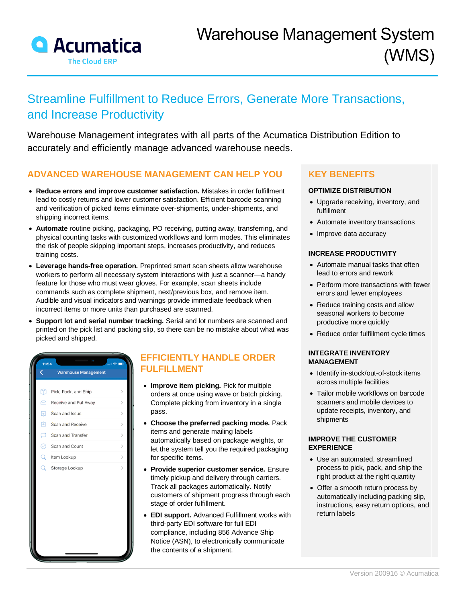

# Streamline Fulfillment to Reduce Errors, Generate More Transactions, and Increase Productivity

Warehouse Management integrates with all parts of the Acumatica Distribution Edition to accurately and efficiently manage advanced warehouse needs.

### **ADVANCED WAREHOUSE MANAGEMENT CAN HELP YOU**

- **Reduce errors and improve customer satisfaction.** Mistakes in order fulfillment lead to costly returns and lower customer satisfaction. Efficient barcode scanning and verification of picked items eliminate over-shipments, under-shipments, and shipping incorrect items.
- **Automate** routine picking, packaging, PO receiving, putting away, transferring, and physical counting tasks with customized workflows and form modes. This eliminates the risk of people skipping important steps, increases productivity, and reduces training costs.
- **Leverage hands-free operation.** Preprinted smart scan sheets allow warehouse workers to perform all necessary system interactions with just a scanner—a handy feature for those who must wear gloves. For example, scan sheets include commands such as complete shipment, next/previous box, and remove item. Audible and visual indicators and warnings provide immediate feedback when incorrect items or more units than purchased are scanned.
- **Support lot and serial number tracking.** Serial and lot numbers are scanned and printed on the pick list and packing slip, so there can be no mistake about what was picked and shipped.



### **EFFICIENTLY HANDLE ORDER FULFILLMENT**

- **Improve item picking.** Pick for multiple orders at once using wave or batch picking. Complete picking from inventory in a single pass.
- **Choose the preferred packing mode.** Pack items and generate mailing labels automatically based on package weights, or let the system tell you the required packaging for specific items.
- **Provide superior customer service.** Ensure timely pickup and delivery through carriers. Track all packages automatically. Notify customers of shipment progress through each stage of order fulfillment.
- **EDI support.** Advanced Fulfillment works with third-party EDI software for full EDI compliance, including 856 Advance Ship Notice (ASN), to electronically communicate the contents of a shipment.

### **KEY BENEFITS**

#### **OPTIMIZE DISTRIBUTION**

- Upgrade receiving, inventory, and fulfillment
- Automate inventory transactions
- Improve data accuracy

#### **INCREASE PRODUCTIVITY**

- Automate manual tasks that often lead to errors and rework
- Perform more transactions with fewer errors and fewer employees
- Reduce training costs and allow seasonal workers to become productive more quickly
- Reduce order fulfillment cycle times

#### **INTEGRATE INVENTORY MANAGEMENT**

- Identify in-stock/out-of-stock items across multiple facilities
- Tailor mobile workflows on barcode scanners and mobile devices to update receipts, inventory, and shipments

#### **IMPROVE THE CUSTOMER EXPERIENCE**

- Use an automated, streamlined process to pick, pack, and ship the right product at the right quantity
- Offer a smooth return process by automatically including packing slip, instructions, easy return options, and return labels